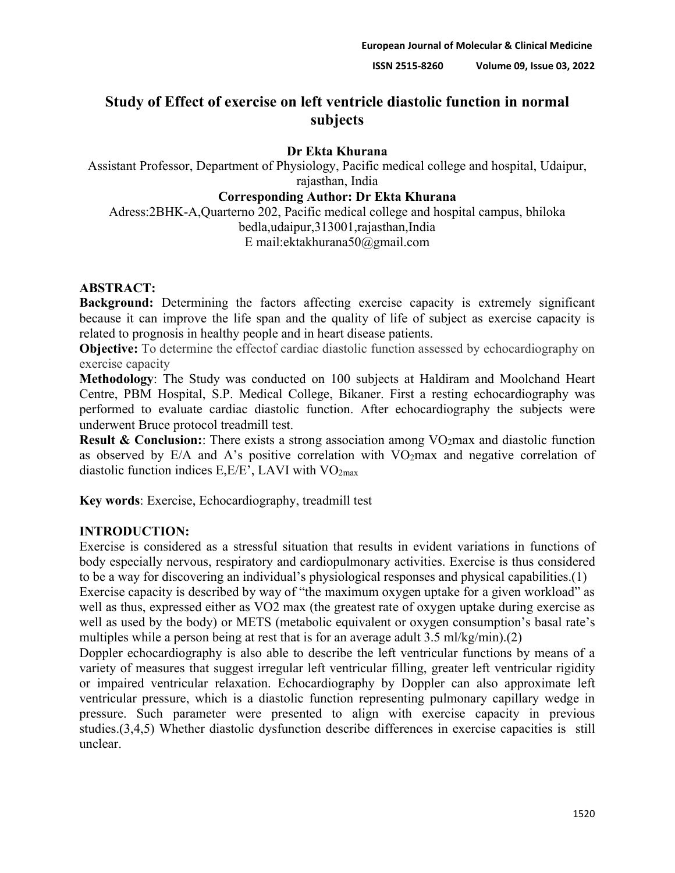# **Study of Effect of exercise on left ventricle diastolic function in normal subjects**

# **Dr Ekta Khurana**

Assistant Professor, Department of Physiology, Pacific medical college and hospital, Udaipur, rajasthan, India

### **Corresponding Author: Dr Ekta Khurana**

Adress:2BHK-A,Quarterno 202, Pacific medical college and hospital campus, bhiloka bedla,udaipur,313001,rajasthan,India E mail:ektakhurana50@gmail.com

## **ABSTRACT:**

**Background:** Determining the factors affecting exercise capacity is extremely significant because it can improve the life span and the quality of life of subject as exercise capacity is related to prognosis in healthy people and in heart disease patients.

**Objective:** To determine the effectof cardiac diastolic function assessed by echocardiography on exercise capacity

**Methodology**: The Study was conducted on 100 subjects at Haldiram and Moolchand Heart Centre, PBM Hospital, S.P. Medical College, Bikaner. First a resting echocardiography was performed to evaluate cardiac diastolic function. After echocardiography the subjects were underwent Bruce protocol treadmill test.

**Result & Conclusion:**: There exists a strong association among VO<sub>2</sub>max and diastolic function as observed by  $E/A$  and A's positive correlation with  $VO<sub>2</sub>$ max and negative correlation of diastolic function indices  $E, E/E$ , LAVI with  $VO<sub>2max</sub>$ 

**Key words**: Exercise, Echocardiography, treadmill test

## **INTRODUCTION:**

Exercise is considered as a stressful situation that results in evident variations in functions of body especially nervous, respiratory and cardiopulmonary activities. Exercise is thus considered to be a way for discovering an individual's physiological responses and physical capabilities.(1)

Exercise capacity is described by way of "the maximum oxygen uptake for a given workload" as well as thus, expressed either as VO2 max (the greatest rate of oxygen uptake during exercise as well as used by the body) or METS (metabolic equivalent or oxygen consumption's basal rate's multiples while a person being at rest that is for an average adult 3.5 ml/kg/min).(2)

Doppler echocardiography is also able to describe the left ventricular functions by means of a variety of measures that suggest irregular left ventricular filling, greater left ventricular rigidity or impaired ventricular relaxation. Echocardiography by Doppler can also approximate left ventricular pressure, which is a diastolic function representing pulmonary capillary wedge in pressure. Such parameter were presented to align with exercise capacity in previous studies.(3,4,5) Whether diastolic dysfunction describe differences in exercise capacities is still unclear.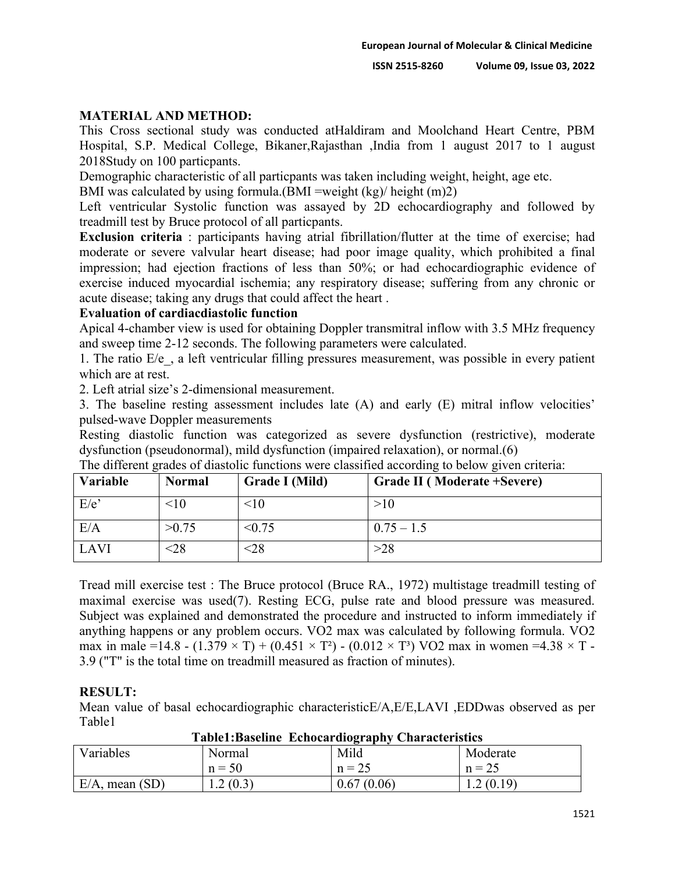### **MATERIAL AND METHOD:**

This Cross sectional study was conducted atHaldiram and Moolchand Heart Centre, PBM Hospital, S.P. Medical College, Bikaner,Rajasthan ,India from 1 august 2017 to 1 august 2018Study on 100 particpants.

Demographic characteristic of all particpants was taken including weight, height, age etc.

BMI was calculated by using formula.(BMI =weight  $(kg)/$  height  $(m)2$ )

Left ventricular Systolic function was assayed by 2D echocardiography and followed by treadmill test by Bruce protocol of all particpants.

**Exclusion criteria** : participants having atrial fibrillation/flutter at the time of exercise; had moderate or severe valvular heart disease; had poor image quality, which prohibited a final impression; had ejection fractions of less than 50%; or had echocardiographic evidence of exercise induced myocardial ischemia; any respiratory disease; suffering from any chronic or acute disease; taking any drugs that could affect the heart .

### **Evaluation of cardiacdiastolic function**

Apical 4-chamber view is used for obtaining Doppler transmitral inflow with 3.5 MHz frequency and sweep time 2-12 seconds. The following parameters were calculated.

1. The ratio  $E/e$ , a left ventricular filling pressures measurement, was possible in every patient which are at rest.

2. Left atrial size's 2-dimensional measurement.

3. The baseline resting assessment includes late (A) and early (E) mitral inflow velocities' pulsed-wave Doppler measurements

Resting diastolic function was categorized as severe dysfunction (restrictive), moderate dysfunction (pseudonormal), mild dysfunction (impaired relaxation), or normal.(6)

| Variable | <b>Normal</b> | Grade I (Mild) | Grade II (Moderate +Severe) |
|----------|---------------|----------------|-----------------------------|
| E/e      | <10           | <10            | >10                         |
| E/A      | >0.75         | < 0.75         | $0.75 - 1.5$                |
| LAVI     | $< \!\!28$    | $< \!\!28$     | >28                         |

The different grades of diastolic functions were classified according to below given criteria:

Tread mill exercise test : The Bruce protocol (Bruce RA., 1972) multistage treadmill testing of maximal exercise was used(7). Resting ECG, pulse rate and blood pressure was measured. Subject was explained and demonstrated the procedure and instructed to inform immediately if anything happens or any problem occurs. VO2 max was calculated by following formula. VO2 max in male =14.8 -  $(1.379 \times T) + (0.451 \times T^2)$  -  $(0.012 \times T^3)$  VO2 max in women =4.38  $\times$  T -3.9 ("T" is the total time on treadmill measured as fraction of minutes).

## **RESULT:**

Mean value of basal echocardiographic characteristicE/A,E/E,LAVI ,EDDwas observed as per Table1

| Table1:Baseline_Ecnocardiography_Characteristics |          |            |           |  |  |  |
|--------------------------------------------------|----------|------------|-----------|--|--|--|
| Variables                                        | Normal   | Mild       | Moderate  |  |  |  |
|                                                  | $n = 50$ | $n = 25$   | $n = 25$  |  |  |  |
| $E/A$ , mean $(SD)$                              | 1.2(0.3) | 0.67(0.06) | 1.2(0.19) |  |  |  |

**Table1:Baseline Echocardiography Characteristics**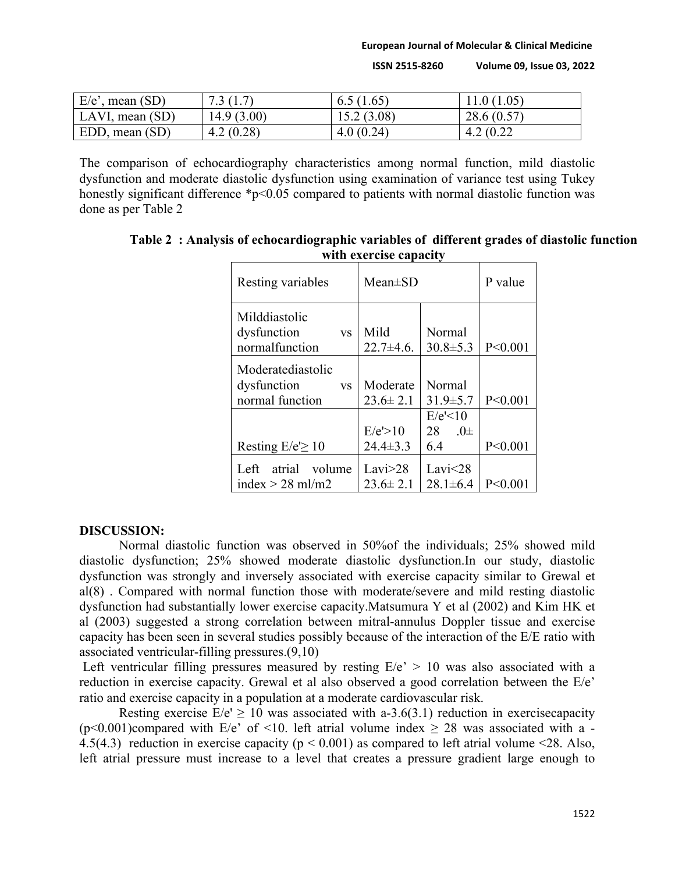**European Journal of Molecular & Clinical Medicine**

**ISSN 2515-8260 Volume 09, Issue 03, 2022**

| $E/e'$ , mean $(SD)$ | 7.3(1.7)   | 6.5(1.65)  | 11.0(1.05) |
|----------------------|------------|------------|------------|
| LAVI, mean (SD)      | 14.9(3.00) | 15.2(3.08) | 28.6(0.57) |
| EDD, mean (SD)       | 4.2(0.28)  | 4.0(0.24)  | 4.2(0.22)  |

The comparison of echocardiography characteristics among normal function, mild diastolic dysfunction and moderate diastolic dysfunction using examination of variance test using Tukey honestly significant difference \*p<0.05 compared to patients with normal diastolic function was done as per Table 2

| Resting variables                                                | $Mean \pm SD$                |                                  | P value   |
|------------------------------------------------------------------|------------------------------|----------------------------------|-----------|
| Milddiastolic<br>dysfunction<br><b>VS</b><br>normalfunction      | Mild<br>$22.7 + 4.6$ .       | Normal<br>$30.8 \pm 5.3$         | P < 0.001 |
| Moderatediastolic<br>dysfunction<br><b>VS</b><br>normal function | Moderate<br>$23.6 \pm 2.1$   | Normal<br>$31.9 \pm 5.7$         | P<0.001   |
| Resting $E/e \ge 10$                                             | E/e' > 10<br>$24.4 \pm 3.3$  | E/e<10<br>$.0\pm$<br>28<br>6.4   | P < 0.001 |
| atrial<br>volume<br>Left<br>index $> 28$ ml/m2                   | Lavi $>28$<br>$23.6 \pm 2.1$ | Lavi $\leq$ 28<br>$28.1 \pm 6.4$ | P < 0.001 |

**Table 2 : Analysis of echocardiographic variables of different grades of diastolic function with exercise capacity**

#### **DISCUSSION:**

Normal diastolic function was observed in 50%of the individuals; 25% showed mild diastolic dysfunction; 25% showed moderate diastolic dysfunction.In our study, diastolic dysfunction was strongly and inversely associated with exercise capacity similar to Grewal et al(8) . Compared with normal function those with moderate/severe and mild resting diastolic dysfunction had substantially lower exercise capacity.Matsumura Y et al (2002) and Kim HK et al (2003) suggested a strong correlation between mitral-annulus Doppler tissue and exercise capacity has been seen in several studies possibly because of the interaction of the E/E ratio with associated ventricular-filling pressures.(9,10)

Left ventricular filling pressures measured by resting  $E/e' > 10$  was also associated with a reduction in exercise capacity. Grewal et al also observed a good correlation between the E/e' ratio and exercise capacity in a population at a moderate cardiovascular risk.

Resting exercise  $E/e' \ge 10$  was associated with a-3.6(3.1) reduction in exercisecapacity (p<0.001)compared with E/e' of <10. left atrial volume index  $\geq$  28 was associated with a -4.5(4.3) reduction in exercise capacity ( $p < 0.001$ ) as compared to left atrial volume <28. Also, left atrial pressure must increase to a level that creates a pressure gradient large enough to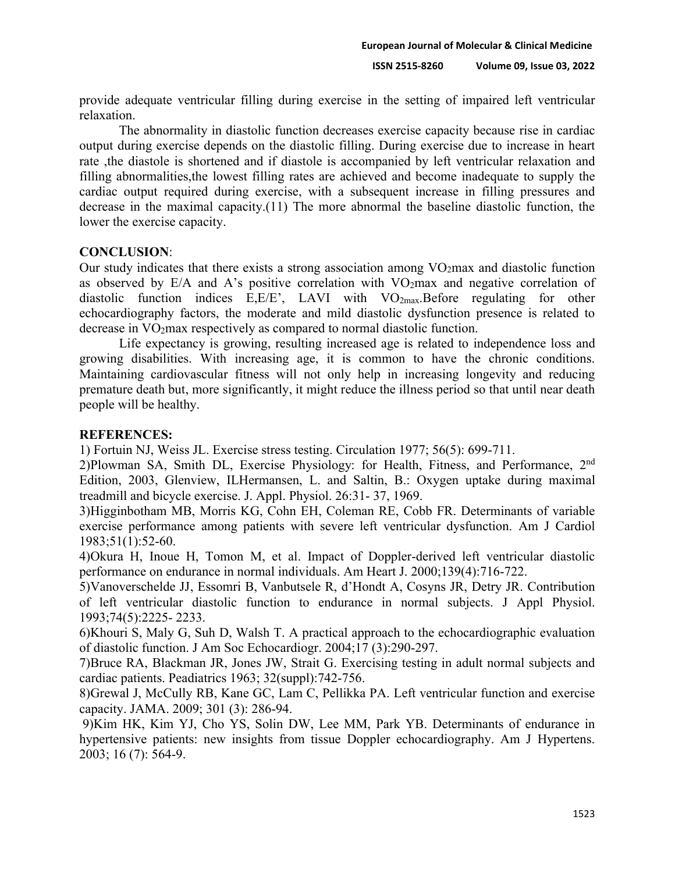provide adequate ventricular filling during exercise in the setting of impaired left ventricular relaxation.

The abnormality in diastolic function decreases exercise capacity because rise in cardiac output during exercise depends on the diastolic filling. During exercise due to increase in heart rate ,the diastole is shortened and if diastole is accompanied by left ventricular relaxation and filling abnormalities,the lowest filling rates are achieved and become inadequate to supply the cardiac output required during exercise, with a subsequent increase in filling pressures and decrease in the maximal capacity.(11) The more abnormal the baseline diastolic function, the lower the exercise capacity.

#### **CONCLUSION**:

Our study indicates that there exists a strong association among VO2max and diastolic function as observed by  $E/A$  and A's positive correlation with  $VO<sub>2</sub>$ max and negative correlation of diastolic function indices  $E, E/E$ , LAVI with  $VO<sub>2max</sub>$ . Before regulating for other echocardiography factors, the moderate and mild diastolic dysfunction presence is related to decrease in VO2max respectively as compared to normal diastolic function.

Life expectancy is growing, resulting increased age is related to independence loss and growing disabilities. With increasing age, it is common to have the chronic conditions. Maintaining cardiovascular fitness will not only help in increasing longevity and reducing premature death but, more significantly, it might reduce the illness period so that until near death people will be healthy.

#### **REFERENCES:**

1) Fortuin NJ, Weiss JL. Exercise stress testing. Circulation 1977; 56(5): 699-711.

2)Plowman SA, Smith DL, Exercise Physiology: for Health, Fitness, and Performance, 2nd Edition, 2003, Glenview, ILHermansen, L. and Saltin, B.: Oxygen uptake during maximal treadmill and bicycle exercise. J. Appl. Physiol. 26:31- 37, 1969.

3)Higginbotham MB, Morris KG, Cohn EH, Coleman RE, Cobb FR. Determinants of variable exercise performance among patients with severe left ventricular dysfunction. Am J Cardiol 1983;51(1):52-60.

4)Okura H, Inoue H, Tomon M, et al. Impact of Doppler-derived left ventricular diastolic performance on endurance in normal individuals. Am Heart J. 2000;139(4):716-722.

5)Vanoverschelde JJ, Essomri B, Vanbutsele R, d'Hondt A, Cosyns JR, Detry JR. Contribution of left ventricular diastolic function to endurance in normal subjects. J Appl Physiol. 1993;74(5):2225- 2233.

6)Khouri S, Maly G, Suh D, Walsh T. A practical approach to the echocardiographic evaluation of diastolic function. J Am Soc Echocardiogr. 2004;17 (3):290-297.

7)Bruce RA, Blackman JR, Jones JW, Strait G. Exercising testing in adult normal subjects and cardiac patients. Peadiatrics 1963; 32(suppl):742-756.

8)Grewal J, McCully RB, Kane GC, Lam C, Pellikka PA. Left ventricular function and exercise capacity. JAMA. 2009; 301 (3): 286-94.

9)Kim HK, Kim YJ, Cho YS, Solin DW, Lee MM, Park YB. Determinants of endurance in hypertensive patients: new insights from tissue Doppler echocardiography. Am J Hypertens. 2003; 16 (7): 564-9.